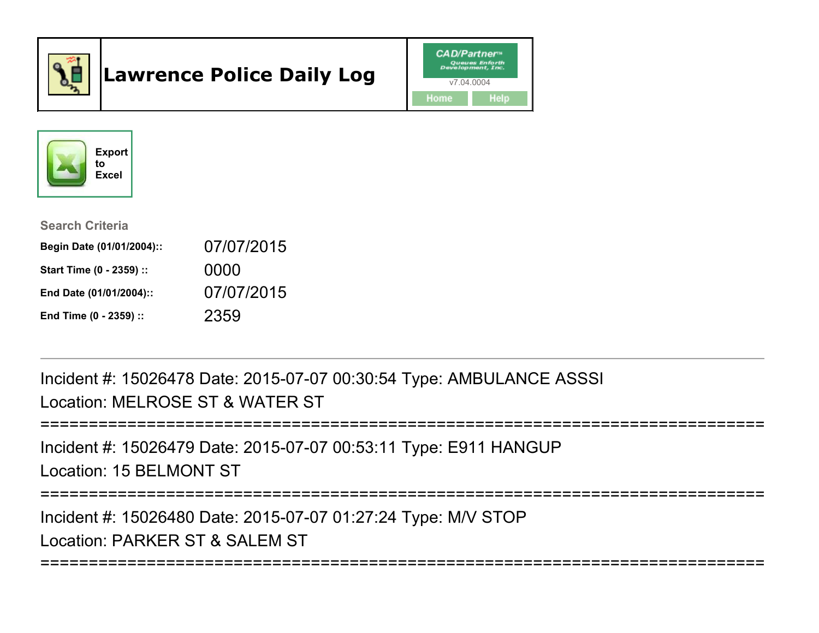

# Lawrence Police Daily Log





Search Criteria

| Begin Date (01/01/2004):: | 07/07/2015 |
|---------------------------|------------|
| Start Time (0 - 2359) ::  | 0000       |
| End Date (01/01/2004)::   | 07/07/2015 |
| End Time (0 - 2359) ::    | 2359       |

Incident #: 15026478 Date: 2015-07-07 00:30:54 Type: AMBULANCE ASSSILocation: MELROSE ST & WATER ST

```
===========================================================================
```
Incident #: 15026479 Date: 2015-07-07 00:53:11 Type: E911 HANGUPLocation: 15 BELMONT ST

===========================================================================

Incident #: 15026480 Date: 2015-07-07 01:27:24 Type: M/V STOPLocation: PARKER ST & SALEM ST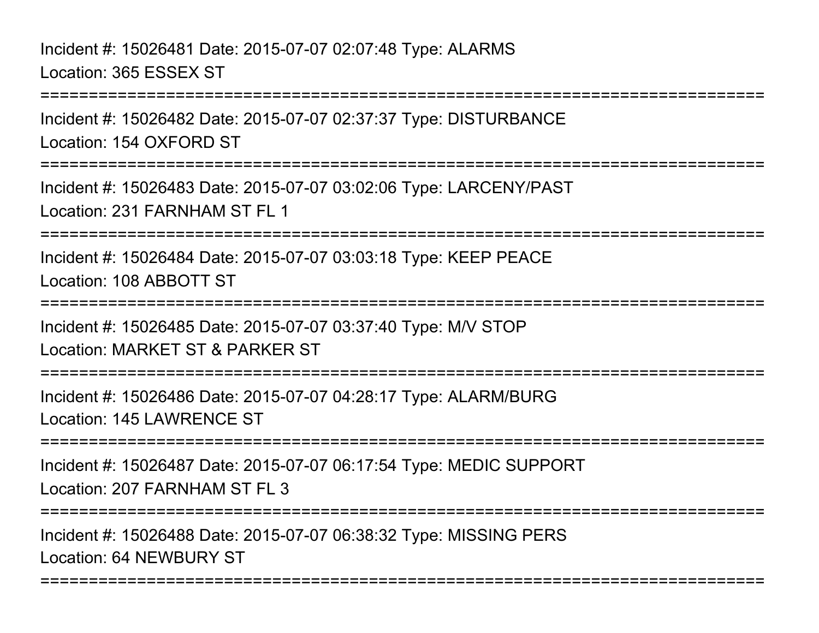# Incident #: 15026481 Date: 2015-07-07 02:07:48 Type: ALARMSLocation: 365 ESSEX ST

Incident #: 15026482 Date: 2015-07-07 02:37:37 Type: DISTURBANCELocation: 154 OXFORD ST

===========================================================================

===========================================================================

Incident #: 15026483 Date: 2015-07-07 03:02:06 Type: LARCENY/PASTLocation: 231 FARNHAM ST FL 1

===========================================================================

Incident #: 15026484 Date: 2015-07-07 03:03:18 Type: KEEP PEACELocation: 108 ABBOTT ST

===========================================================================

Incident #: 15026485 Date: 2015-07-07 03:37:40 Type: M/V STOP

Location: MARKET ST & PARKER ST

===========================================================================

Incident #: 15026486 Date: 2015-07-07 04:28:17 Type: ALARM/BURGLocation: 145 LAWRENCE ST

**===============** 

Incident #: 15026487 Date: 2015-07-07 06:17:54 Type: MEDIC SUPPORTLocation: 207 FARNHAM ST FL 3

===========================================================================

===========================================================================

Incident #: 15026488 Date: 2015-07-07 06:38:32 Type: MISSING PERSLocation: 64 NEWBURY ST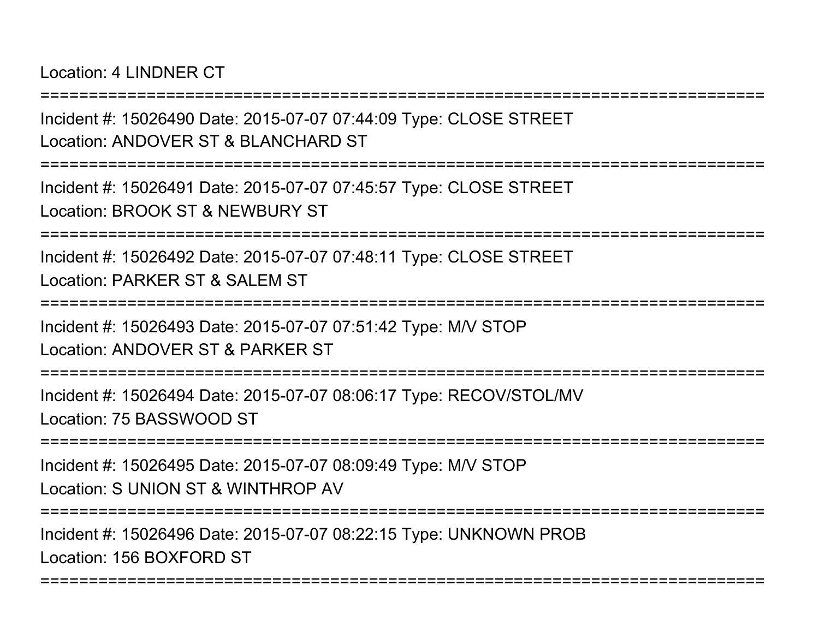Location: 4 LINDNER CT

===========================================================================Incident #: 15026490 Date: 2015-07-07 07:44:09 Type: CLOSE STREETLocation: ANDOVER ST & BLANCHARD ST===========================================================================Incident #: 15026491 Date: 2015-07-07 07:45:57 Type: CLOSE STREETLocation: BROOK ST & NEWBURY ST===========================================================================Incident #: 15026492 Date: 2015-07-07 07:48:11 Type: CLOSE STREETLocation: PARKER ST & SALEM ST ===========================================================================Incident #: 15026493 Date: 2015-07-07 07:51:42 Type: M/V STOPLocation: ANDOVER ST & PARKER ST===========================================================================Incident #: 15026494 Date: 2015-07-07 08:06:17 Type: RECOV/STOL/MVLocation: 75 BASSWOOD ST===========================================================================Incident #: 15026495 Date: 2015-07-07 08:09:49 Type: M/V STOPLocation: S UNION ST & WINTHROP AV===========================================================================Incident #: 15026496 Date: 2015-07-07 08:22:15 Type: UNKNOWN PROBLocation: 156 BOXFORD ST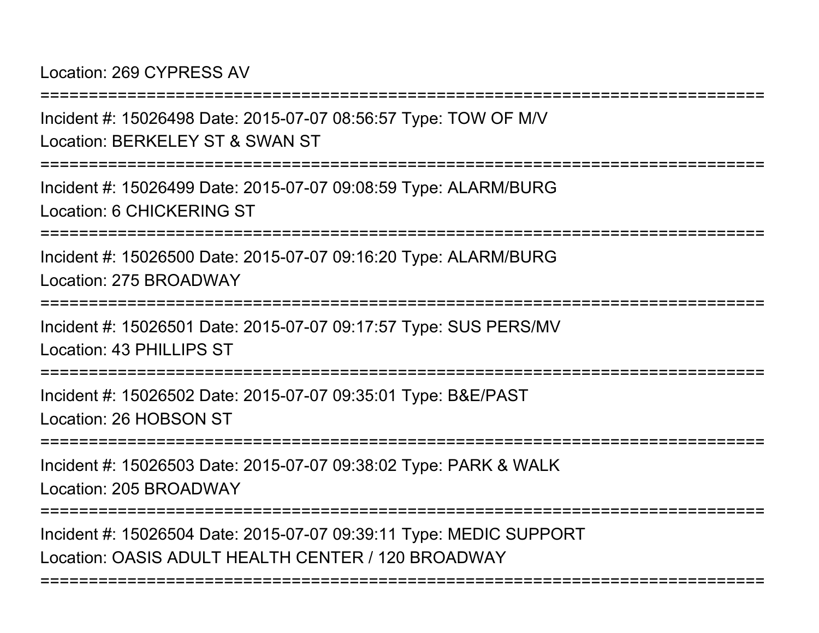Location: 269 CYPRESS AV

===========================================================================Incident #: 15026498 Date: 2015-07-07 08:56:57 Type: TOW OF M/VLocation: BERKELEY ST & SWAN ST===========================================================================Incident #: 15026499 Date: 2015-07-07 09:08:59 Type: ALARM/BURGLocation: 6 CHICKERING ST===========================================================================Incident #: 15026500 Date: 2015-07-07 09:16:20 Type: ALARM/BURGLocation: 275 BROADWAY=============== Incident #: 15026501 Date: 2015-07-07 09:17:57 Type: SUS PERS/MVLocation: 43 PHILLIPS ST===========================================================================Incident #: 15026502 Date: 2015-07-07 09:35:01 Type: B&E/PASTLocation: 26 HOBSON ST**=================** Incident #: 15026503 Date: 2015-07-07 09:38:02 Type: PARK & WALKLocation: 205 BROADWAY===========================================================================Incident #: 15026504 Date: 2015-07-07 09:39:11 Type: MEDIC SUPPORTLocation: OASIS ADULT HEALTH CENTER / 120 BROADWAY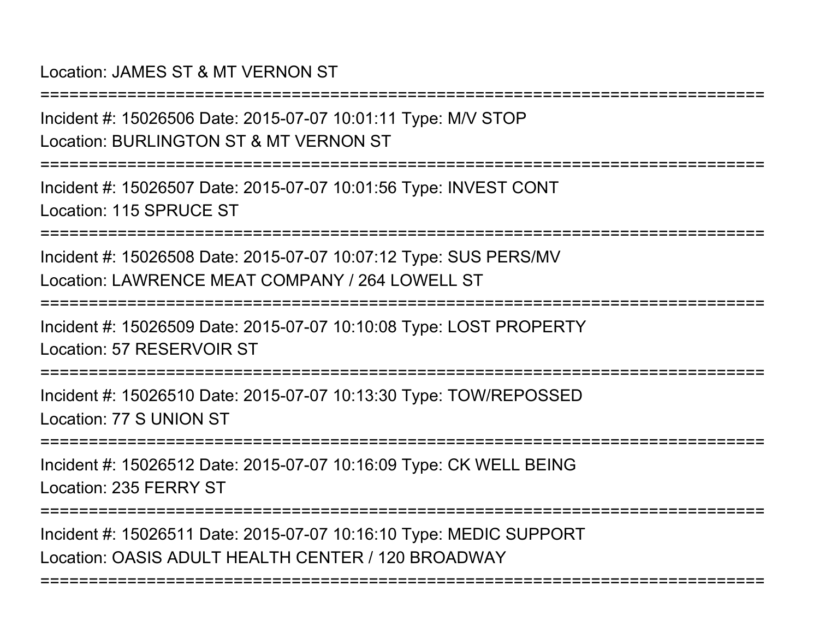#### Location: JAMES ST & MT VERNON ST

Incident #: 15026506 Date: 2015-07-07 10:01:11 Type: M/V STOPLocation: BURLINGTON ST & MT VERNON ST

===========================================================================

===========================================================================

Incident #: 15026507 Date: 2015-07-07 10:01:56 Type: INVEST CONTLocation: 115 SPRUCE ST

===========================================================================

Incident #: 15026508 Date: 2015-07-07 10:07:12 Type: SUS PERS/MVLocation: LAWRENCE MEAT COMPANY / 264 LOWELL ST

===========================================================================

Incident #: 15026509 Date: 2015-07-07 10:10:08 Type: LOST PROPERTYLocation: 57 RESERVOIR ST

===========================================================================

Incident #: 15026510 Date: 2015-07-07 10:13:30 Type: TOW/REPOSSEDLocation: 77 S UNION ST

===========================================================================

Incident #: 15026512 Date: 2015-07-07 10:16:09 Type: CK WELL BEINGLocation: 235 FERRY ST

===========================================================================

===========================================================================

Incident #: 15026511 Date: 2015-07-07 10:16:10 Type: MEDIC SUPPORTLocation: OASIS ADULT HEALTH CENTER / 120 BROADWAY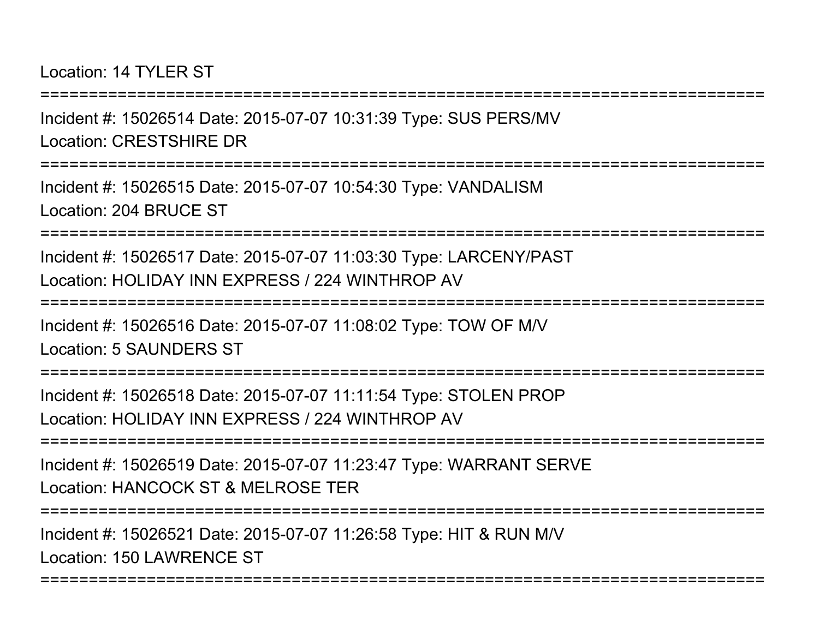Location: 14 TYLER ST

Incident #: 15026514 Date: 2015-07-07 10:31:39 Type: SUS PERS/MVLocation: CRESTSHIRE DR

===========================================================================

===========================================================================

Incident #: 15026515 Date: 2015-07-07 10:54:30 Type: VANDALISMLocation: 204 BRUCE ST

===========================================================================

Incident #: 15026517 Date: 2015-07-07 11:03:30 Type: LARCENY/PASTLocation: HOLIDAY INN EXPRESS / 224 WINTHROP AV

===============

Incident #: 15026516 Date: 2015-07-07 11:08:02 Type: TOW OF M/VLocation: 5 SAUNDERS ST

===========================================================================

Incident #: 15026518 Date: 2015-07-07 11:11:54 Type: STOLEN PROPLocation: HOLIDAY INN EXPRESS / 224 WINTHROP AV

===========================================================================

Incident #: 15026519 Date: 2015-07-07 11:23:47 Type: WARRANT SERVELocation: HANCOCK ST & MELROSE TER

===========================================================================

===========================================================================

Incident #: 15026521 Date: 2015-07-07 11:26:58 Type: HIT & RUN M/VLocation: 150 LAWRENCE ST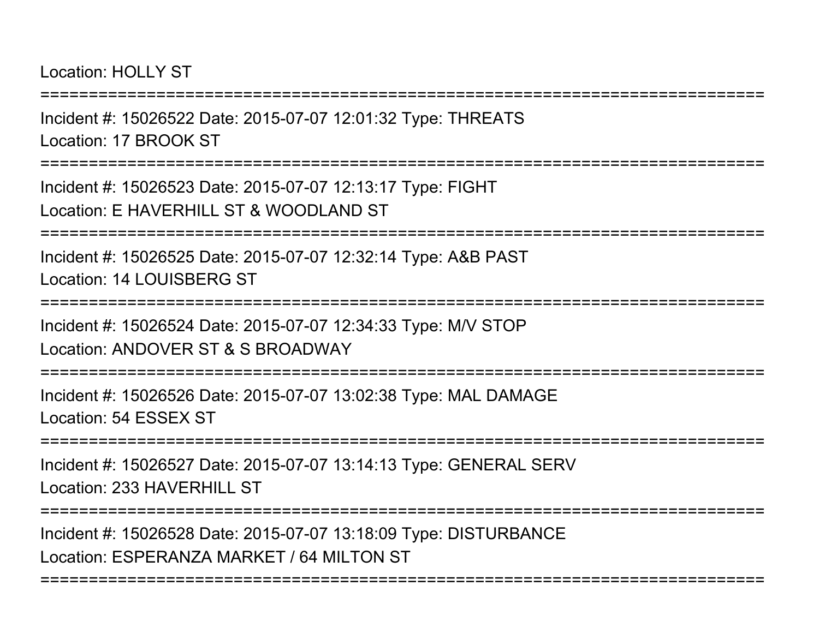Location: HOLLY ST

===========================================================================Incident #: 15026522 Date: 2015-07-07 12:01:32 Type: THREATSLocation: 17 BROOK ST===========================================================================Incident #: 15026523 Date: 2015-07-07 12:13:17 Type: FIGHTLocation: E HAVERHILL ST & WOODLAND ST===========================================================================Incident #: 15026525 Date: 2015-07-07 12:32:14 Type: A&B PASTLocation: 14 LOUISBERG ST===========================================================================Incident #: 15026524 Date: 2015-07-07 12:34:33 Type: M/V STOPLocation: ANDOVER ST & S BROADWAY===========================================================================Incident #: 15026526 Date: 2015-07-07 13:02:38 Type: MAL DAMAGELocation: 54 ESSEX ST===========================================================================Incident #: 15026527 Date: 2015-07-07 13:14:13 Type: GENERAL SERVLocation: 233 HAVERHILL ST ===========================================================================Incident #: 15026528 Date: 2015-07-07 13:18:09 Type: DISTURBANCE

===========================================================================

Location: ESPERANZA MARKET / 64 MILTON ST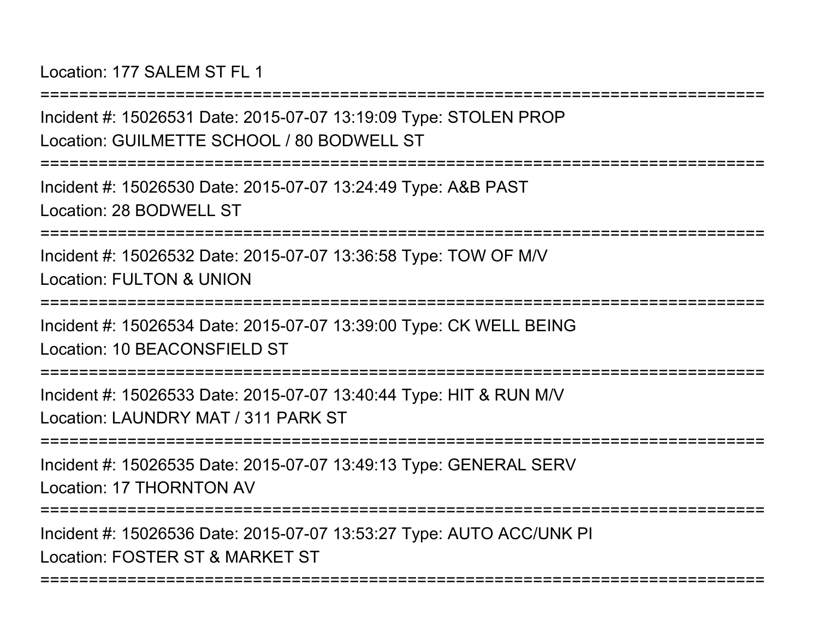Location: 177 SALEM ST FL 1

===========================================================================Incident #: 15026531 Date: 2015-07-07 13:19:09 Type: STOLEN PROPLocation: GUILMETTE SCHOOL / 80 BODWELL ST===========================================================================Incident #: 15026530 Date: 2015-07-07 13:24:49 Type: A&B PASTLocation: 28 BODWELL ST===========================================================================Incident #: 15026532 Date: 2015-07-07 13:36:58 Type: TOW OF M/VLocation: FULTON & UNION**================** Incident #: 15026534 Date: 2015-07-07 13:39:00 Type: CK WELL BEINGLocation: 10 BEACONSFIELD ST ===========================================================================Incident #: 15026533 Date: 2015-07-07 13:40:44 Type: HIT & RUN M/VLocation: LAUNDRY MAT / 311 PARK ST===========================================================================Incident #: 15026535 Date: 2015-07-07 13:49:13 Type: GENERAL SERVLocation: 17 THORNTON AV===========================================================================Incident #: 15026536 Date: 2015-07-07 13:53:27 Type: AUTO ACC/UNK PI

===========================================================================

Location: FOSTER ST & MARKET ST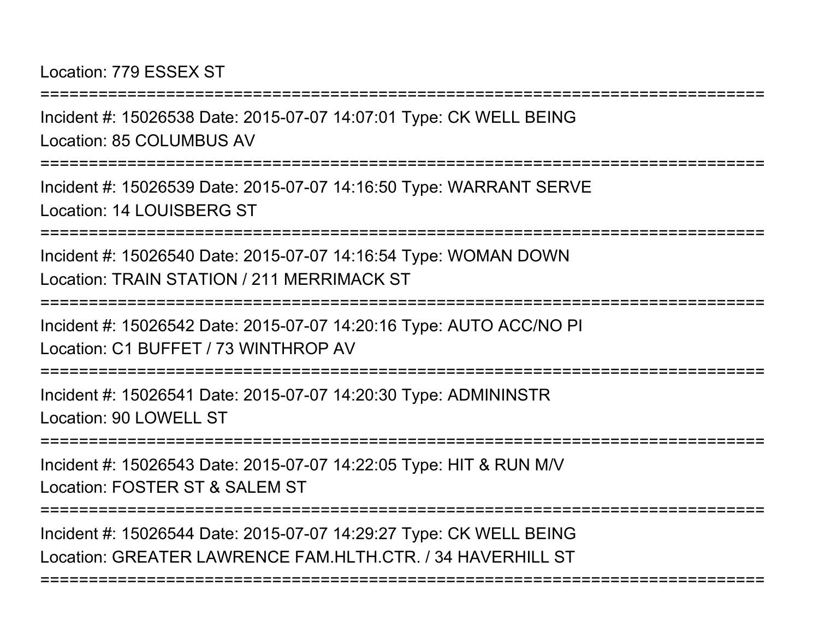Location: 779 ESSEX ST

===========================================================================Incident #: 15026538 Date: 2015-07-07 14:07:01 Type: CK WELL BEING

Location: 85 COLUMBUS AV

===========================================================================

Incident #: 15026539 Date: 2015-07-07 14:16:50 Type: WARRANT SERVELocation: 14 LOUISBERG ST

===========================================================================

Incident #: 15026540 Date: 2015-07-07 14:16:54 Type: WOMAN DOWNLocation: TRAIN STATION / 211 MERRIMACK ST

===========================================================================

Incident #: 15026542 Date: 2015-07-07 14:20:16 Type: AUTO ACC/NO PILocation: C1 BUFFET / 73 WINTHROP AV

===========================================================================

Incident #: 15026541 Date: 2015-07-07 14:20:30 Type: ADMININSTRLocation: 90 LOWELL ST

===========================================================================

Incident #: 15026543 Date: 2015-07-07 14:22:05 Type: HIT & RUN M/VLocation: FOSTER ST & SALEM ST

===========================================================================

===========================================================================

Incident #: 15026544 Date: 2015-07-07 14:29:27 Type: CK WELL BEINGLocation: GREATER LAWRENCE FAM.HLTH.CTR. / 34 HAVERHILL ST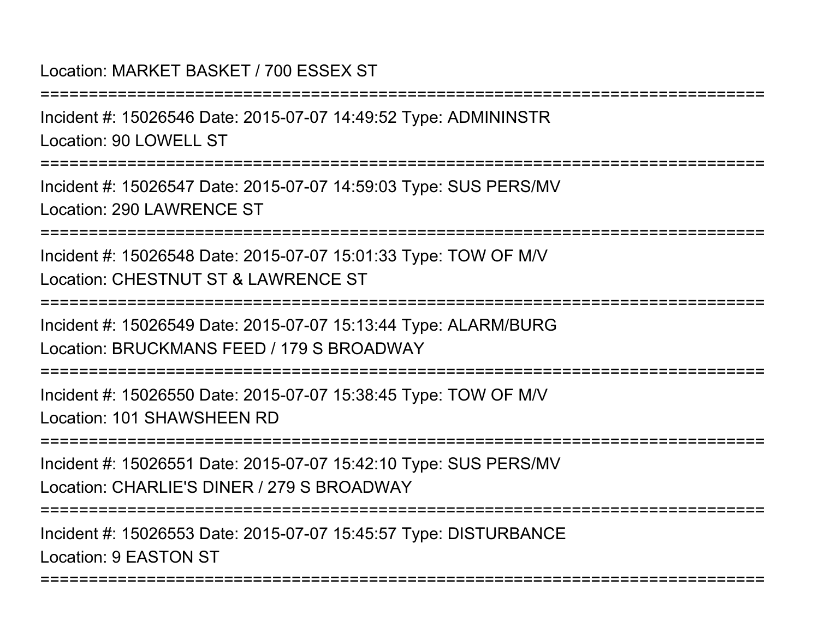# Location: MARKET BASKET / 700 ESSEX ST

===========================================================================

Incident #: 15026546 Date: 2015-07-07 14:49:52 Type: ADMININSTRLocation: 90 LOWELL ST

===========================================================================

Incident #: 15026547 Date: 2015-07-07 14:59:03 Type: SUS PERS/MVLocation: 290 LAWRENCE ST

===========================================================================

Incident #: 15026548 Date: 2015-07-07 15:01:33 Type: TOW OF M/VLocation: CHESTNUT ST & LAWRENCE ST

===========================================================================

Incident #: 15026549 Date: 2015-07-07 15:13:44 Type: ALARM/BURGLocation: BRUCKMANS FEED / 179 S BROADWAY

===========================================================================

Incident #: 15026550 Date: 2015-07-07 15:38:45 Type: TOW OF M/VLocation: 101 SHAWSHEEN RD

===========================================================================

Incident #: 15026551 Date: 2015-07-07 15:42:10 Type: SUS PERS/MVLocation: CHARLIE'S DINER / 279 S BROADWAY

===========================================================================

===========================================================================

Incident #: 15026553 Date: 2015-07-07 15:45:57 Type: DISTURBANCELocation: 9 EASTON ST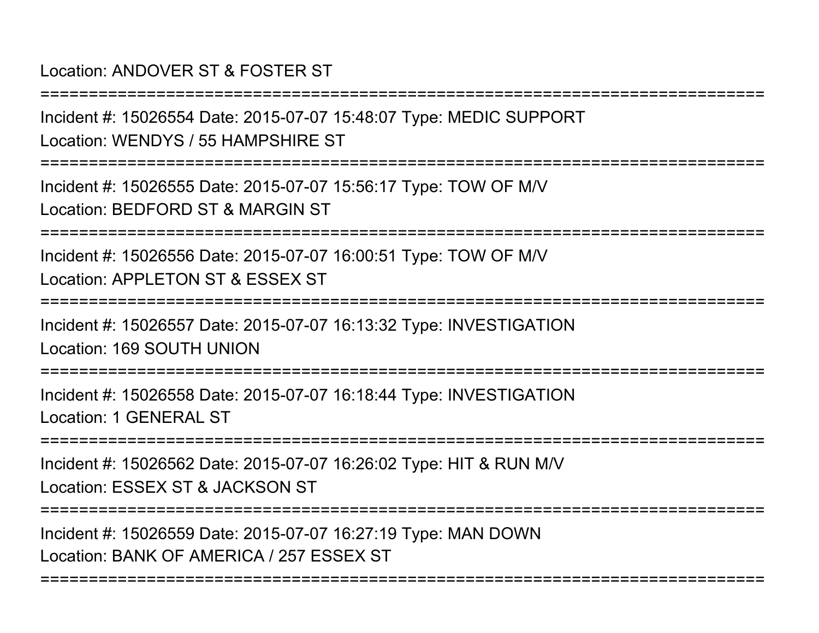# Location: ANDOVER ST & FOSTER ST

===========================================================================Incident #: 15026554 Date: 2015-07-07 15:48:07 Type: MEDIC SUPPORTLocation: WENDYS / 55 HAMPSHIRE ST

===========================================================================

Incident #: 15026555 Date: 2015-07-07 15:56:17 Type: TOW OF M/VLocation: BEDFORD ST & MARGIN ST

===========================================================================

Incident #: 15026556 Date: 2015-07-07 16:00:51 Type: TOW OF M/VLocation: APPLETON ST & ESSEX ST

===========================================================================

Incident #: 15026557 Date: 2015-07-07 16:13:32 Type: INVESTIGATIONLocation: 169 SOUTH UNION

===========================================================================

Incident #: 15026558 Date: 2015-07-07 16:18:44 Type: INVESTIGATIONLocation: 1 GENERAL ST

**===============** 

Incident #: 15026562 Date: 2015-07-07 16:26:02 Type: HIT & RUN M/VLocation: ESSEX ST & JACKSON ST

===========================================================================

===========================================================================

Incident #: 15026559 Date: 2015-07-07 16:27:19 Type: MAN DOWNLocation: BANK OF AMERICA / 257 ESSEX ST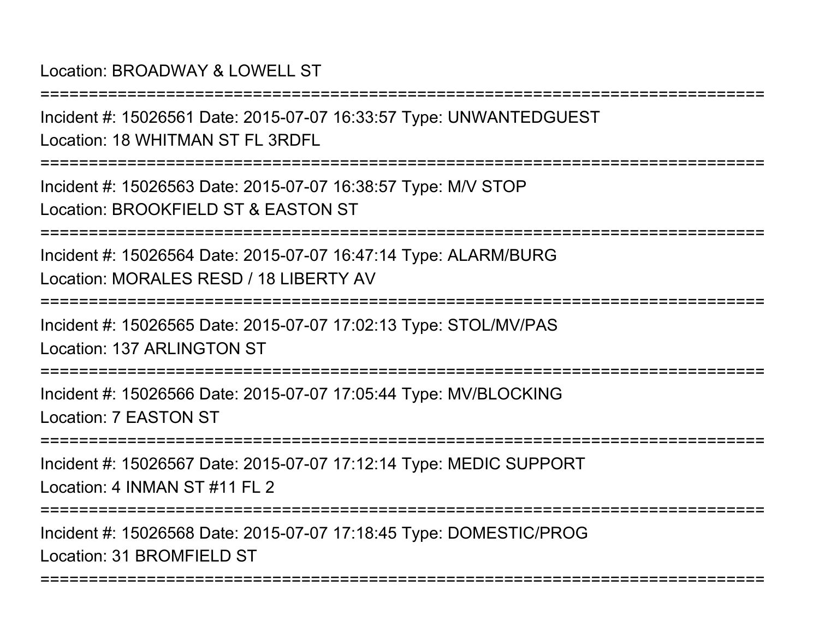Location: BROADWAY & LOWELL ST

Incident #: 15026561 Date: 2015-07-07 16:33:57 Type: UNWANTEDGUESTLocation: 18 WHITMAN ST FL 3RDFL

===========================================================================

===========================================================================

Incident #: 15026563 Date: 2015-07-07 16:38:57 Type: M/V STOPLocation: BROOKFIFLD ST & FASTON ST

===========================================================================

Incident #: 15026564 Date: 2015-07-07 16:47:14 Type: ALARM/BURGLocation: MORALES RESD / 18 LIBERTY AV

===========================================================================

Incident #: 15026565 Date: 2015-07-07 17:02:13 Type: STOL/MV/PASLocation: 137 ARLINGTON ST

===========================================================================

Incident #: 15026566 Date: 2015-07-07 17:05:44 Type: MV/BLOCKINGLocation: 7 EASTON ST

**=============** 

Incident #: 15026567 Date: 2015-07-07 17:12:14 Type: MEDIC SUPPORTLocation: 4 INMAN ST #11 FL 2

===========================================================================

===========================================================================

Incident #: 15026568 Date: 2015-07-07 17:18:45 Type: DOMESTIC/PROGLocation: 31 BROMEIELD ST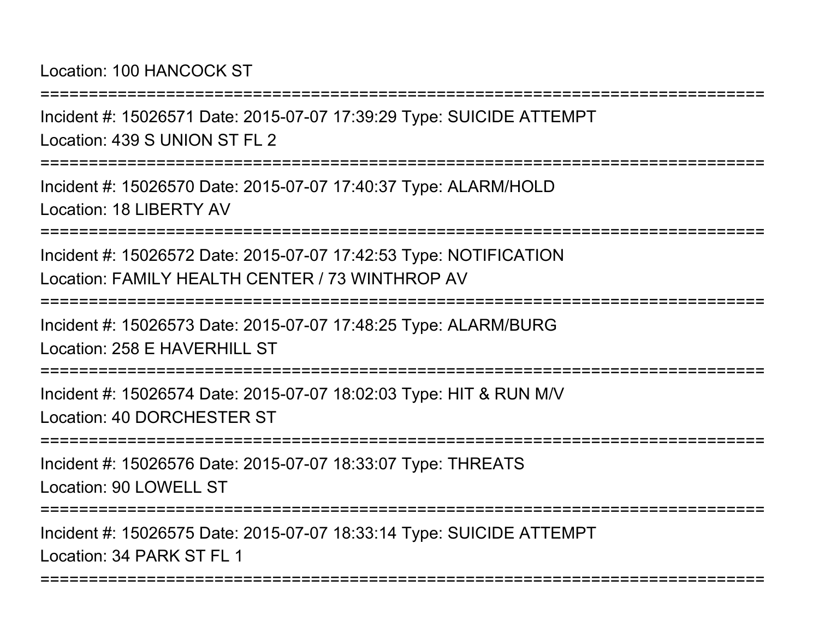Location: 100 HANCOCK ST

===========================================================================

Incident #: 15026571 Date: 2015-07-07 17:39:29 Type: SUICIDE ATTEMPTLocation: 439 S UNION ST FL 2

===========================================================================

Incident #: 15026570 Date: 2015-07-07 17:40:37 Type: ALARM/HOLDLocation: 18 LIBERTY AV

===========================================================================

Incident #: 15026572 Date: 2015-07-07 17:42:53 Type: NOTIFICATIONLocation: FAMILY HEALTH CENTER / 73 WINTHROP AV

===========================================================================

Incident #: 15026573 Date: 2015-07-07 17:48:25 Type: ALARM/BURGLocation: 258 F HAVERHILL ST

===========================================================================

Incident #: 15026574 Date: 2015-07-07 18:02:03 Type: HIT & RUN M/VLocation: 40 DORCHESTER ST

===========================================================================

Incident #: 15026576 Date: 2015-07-07 18:33:07 Type: THREATSLocation: 90 LOWELL ST

===========================================================================

===========================================================================

Incident #: 15026575 Date: 2015-07-07 18:33:14 Type: SUICIDE ATTEMPTLocation: 34 PARK ST FL 1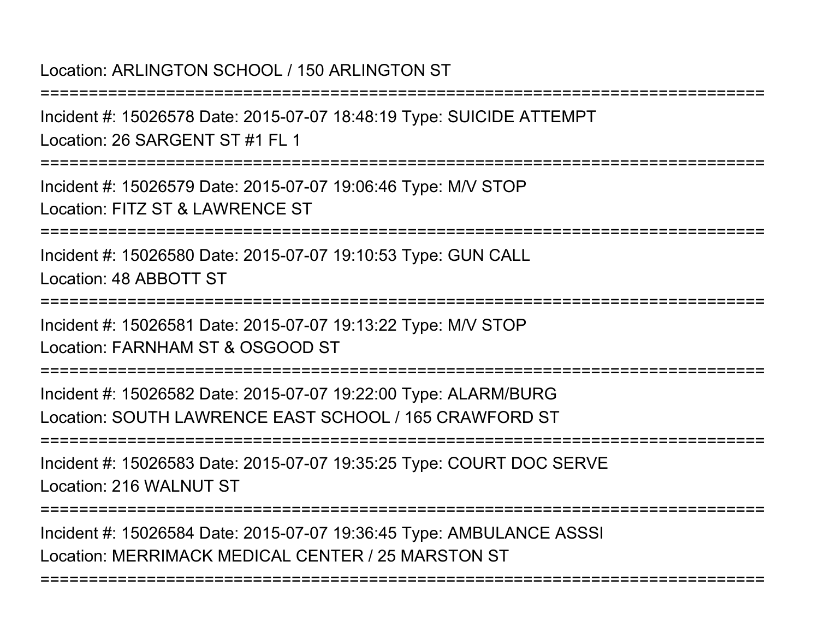### Location: ARLINGTON SCHOOL / 150 ARLINGTON ST

===========================================================================

Incident #: 15026578 Date: 2015-07-07 18:48:19 Type: SUICIDE ATTEMPTLocation: 26 SARGENT ST #1 FL 1

===========================================================================

Incident #: 15026579 Date: 2015-07-07 19:06:46 Type: M/V STOPLocation: FITZ ST & LAWRENCE ST

===========================================================================

Incident #: 15026580 Date: 2015-07-07 19:10:53 Type: GUN CALLLocation: 48 ABBOTT ST

===========================================================================

Incident #: 15026581 Date: 2015-07-07 19:13:22 Type: M/V STOPLocation: FARNHAM ST & OSGOOD ST

===========================================================================

Incident #: 15026582 Date: 2015-07-07 19:22:00 Type: ALARM/BURGLocation: SOUTH LAWRENCE EAST SCHOOL / 165 CRAWFORD ST

===========================================================================

Incident #: 15026583 Date: 2015-07-07 19:35:25 Type: COURT DOC SERVELocation: 216 WALNUT ST

===========================================================================

===========================================================================

Incident #: 15026584 Date: 2015-07-07 19:36:45 Type: AMBULANCE ASSSILocation: MERRIMACK MEDICAL CENTER / 25 MARSTON ST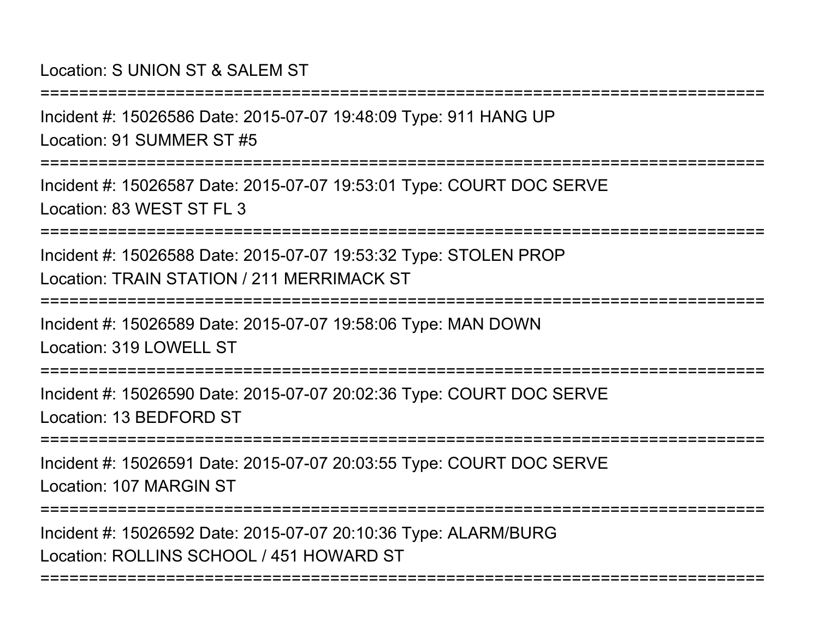#### Location: S UNION ST & SALEM ST

===========================================================================

Incident #: 15026586 Date: 2015-07-07 19:48:09 Type: 911 HANG UPLocation: 91 SUMMER ST #5

===========================================================================

Incident #: 15026587 Date: 2015-07-07 19:53:01 Type: COURT DOC SERVELocation: 83 WEST ST FL 3

===========================================================================

Incident #: 15026588 Date: 2015-07-07 19:53:32 Type: STOLEN PROPLocation: TRAIN STATION / 211 MERRIMACK ST

===========================================================================

Incident #: 15026589 Date: 2015-07-07 19:58:06 Type: MAN DOWNLocation: 319 LOWELL ST

======================

Incident #: 15026590 Date: 2015-07-07 20:02:36 Type: COURT DOC SERVELocation: 13 BEDFORD ST

===========================================================================

Incident #: 15026591 Date: 2015-07-07 20:03:55 Type: COURT DOC SERVELocation: 107 MARGIN ST

===========================================================================

===========================================================================

Incident #: 15026592 Date: 2015-07-07 20:10:36 Type: ALARM/BURGLocation: ROLLINS SCHOOL / 451 HOWARD ST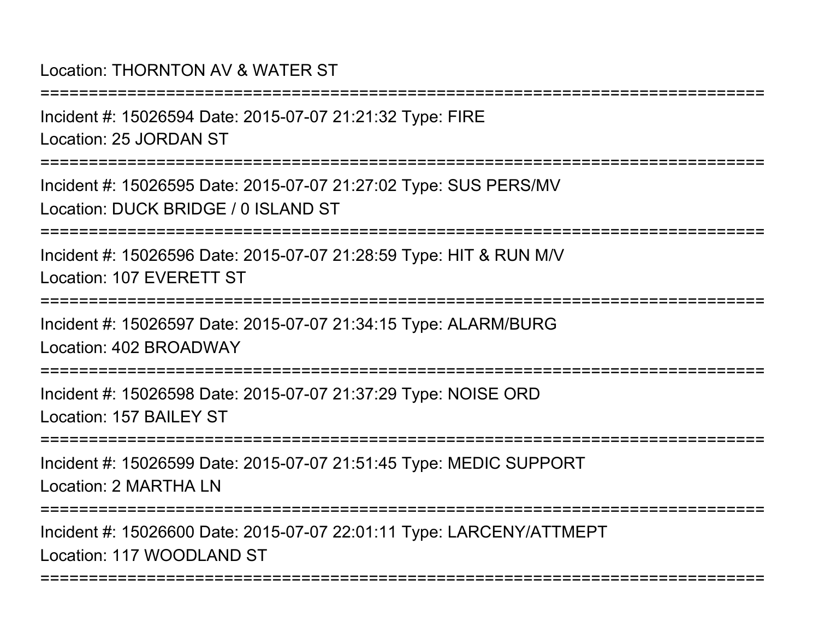#### Location: THORNTON AV & WATER ST

Incident #: 15026594 Date: 2015-07-07 21:21:32 Type: FIRELocation: 25 JORDAN ST

===========================================================================

===========================================================================

Incident #: 15026595 Date: 2015-07-07 21:27:02 Type: SUS PERS/MVLocation: DUCK BRIDGE / 0 ISLAND ST

===========================================================================

Incident #: 15026596 Date: 2015-07-07 21:28:59 Type: HIT & RUN M/VLocation: 107 EVERETT ST

===========================================================================

Incident #: 15026597 Date: 2015-07-07 21:34:15 Type: ALARM/BURGLocation: 402 BROADWAY

================

Incident #: 15026598 Date: 2015-07-07 21:37:29 Type: NOISE ORDLocation: 157 BAILEY ST

===========================================================================

Incident #: 15026599 Date: 2015-07-07 21:51:45 Type: MEDIC SUPPORTLocation: 2 MARTHA LN

===========================================================================

===========================================================================

Incident #: 15026600 Date: 2015-07-07 22:01:11 Type: LARCENY/ATTMEPTLocation: 117 WOODLAND ST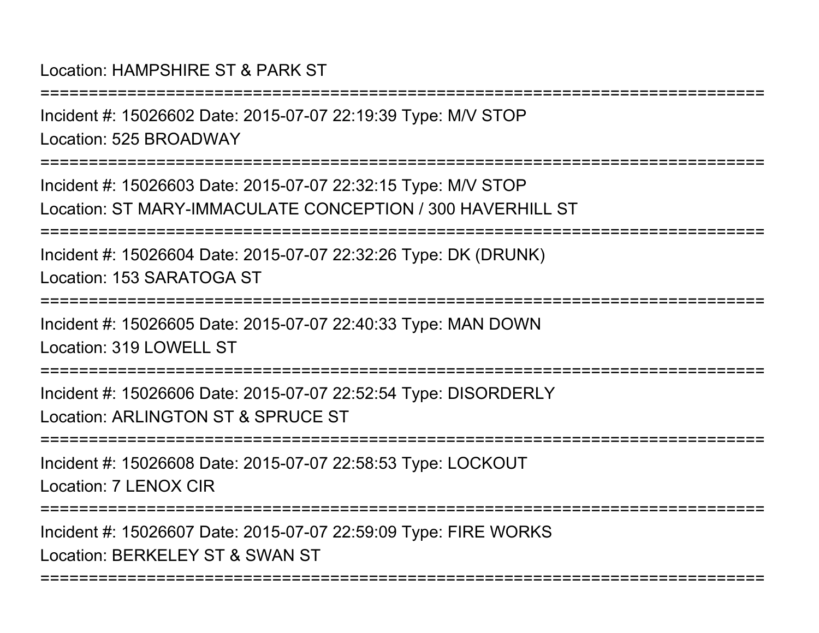#### Location: HAMPSHIRE ST & PARK ST

===========================================================================Incident #: 15026602 Date: 2015-07-07 22:19:39 Type: M/V STOPLocation: 525 BROADWAY===========================================================================Incident #: 15026603 Date: 2015-07-07 22:32:15 Type: M/V STOP Location: ST MARY-IMMACULATE CONCEPTION / 300 HAVERHILL ST===========================================================================Incident #: 15026604 Date: 2015-07-07 22:32:26 Type: DK (DRUNK)Location: 153 SARATOGA ST===========================================================================Incident #: 15026605 Date: 2015-07-07 22:40:33 Type: MAN DOWNLocation: 319 LOWELL ST ===========================================================================Incident #: 15026606 Date: 2015-07-07 22:52:54 Type: DISORDERLYLocation: ARLINGTON ST & SPRUCE ST===========================================================================Incident #: 15026608 Date: 2015-07-07 22:58:53 Type: LOCKOUTLocation: 7 LENOX CIR===========================================================================Incident #: 15026607 Date: 2015-07-07 22:59:09 Type: FIRE WORKSLocation: BERKELEY ST & SWAN ST